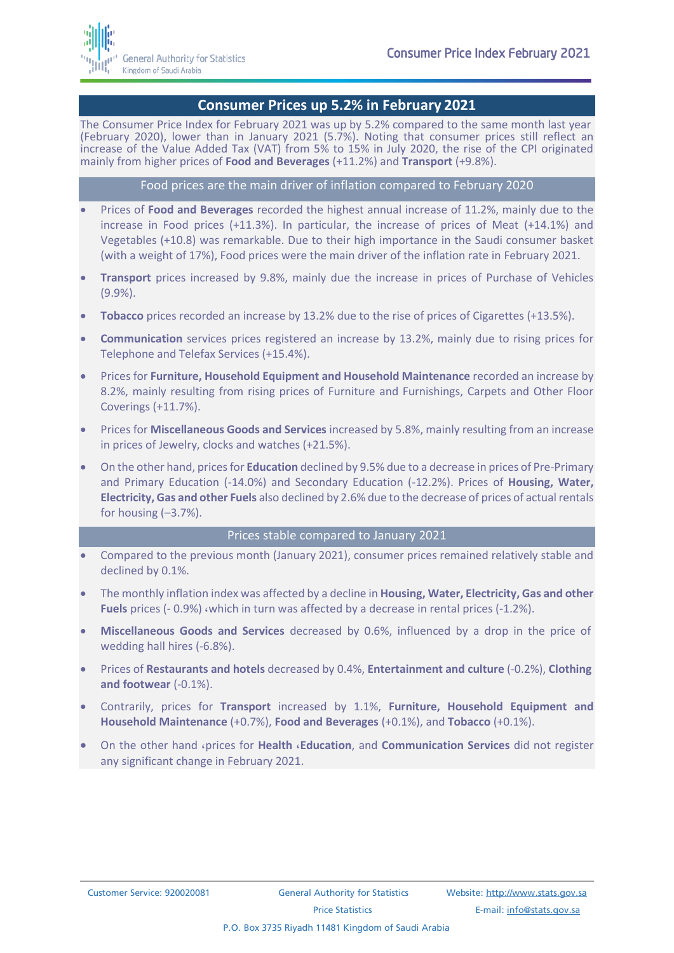

### **Consumer Prices up 5.2% in February 2021**

The Consumer Price Index for February 2021 was up by 5.2% compared to the same month last year (February 2020), lower than in January 2021 (5.7%). Noting that consumer prices still reflect an increase of the Value Added Tax (VAT) from 5% to 15% in July 2020, the rise of the CPI originated mainly from higher prices of **Food and Beverages** (+11.2%) and **Transport** (+9.8%).

#### Food prices are the main driver of inflation compared to February 2020

- Prices of **Food and Beverages** recorded the highest annual increase of 11.2%, mainly due to the increase in Food prices (+11.3%). In particular, the increase of prices of Meat (+14.1%) and Vegetables (+10.8) was remarkable. Due to their high importance in the Saudi consumer basket (with a weight of 17%), Food prices were the main driver of the inflation rate in February 2021.
- **Transport** prices increased by 9.8%, mainly due the increase in prices of Purchase of Vehicles (9.9%).
- **Tobacco** prices recorded an increase by 13.2% due to the rise of prices of Cigarettes (+13.5%).
- **Communication** services prices registered an increase by 13.2%, mainly due to rising prices for Telephone and Telefax Services (+15.4%).
- Prices for **Furniture, Household Equipment and Household Maintenance** recorded an increase by 8.2%, mainly resulting from rising prices of Furniture and Furnishings, Carpets and Other Floor Coverings (+11.7%).
- Prices for **Miscellaneous Goods and Services** increased by 5.8%, mainly resulting from an increase in prices of Jewelry, clocks and watches (+21.5%).
- On the other hand, prices for **Education** declined by 9.5% due to a decrease in prices of Pre-Primary and Primary Education (-14.0%) and Secondary Education (-12.2%). Prices of **Housing, Water, Electricity, Gas and other Fuels** also declined by 2.6% due to the decrease of prices of actual rentals for housing  $(-3.7%)$ .

#### Prices stable compared to January 2021

- Compared to the previous month (January 2021), consumer prices remained relatively stable and declined by 0.1%.
- The monthly inflation index was affected by a decline in **Housing, Water, Electricity, Gas and other Fuels** prices (- 0.9%) ,which in turn was affected by a decrease in rental prices (-1.2%).
- **Miscellaneous Goods and Services** decreased by 0.6%, influenced by a drop in the price of wedding hall hires (-6.8%).
- Prices of **Restaurants and hotels** decreased by 0.4%, **Entertainment and culture** (-0.2%), **Clothing and footwear** (-0.1%).
- Contrarily, prices for **Transport** increased by 1.1%, **Furniture, Household Equipment and Household Maintenance** (+0.7%), **Food and Beverages** (+0.1%), and **Tobacco** (+0.1%).
- On the other hand ,prices for **Health** ,**Education**, and **Communication Services** did not register any significant change in February 2021.